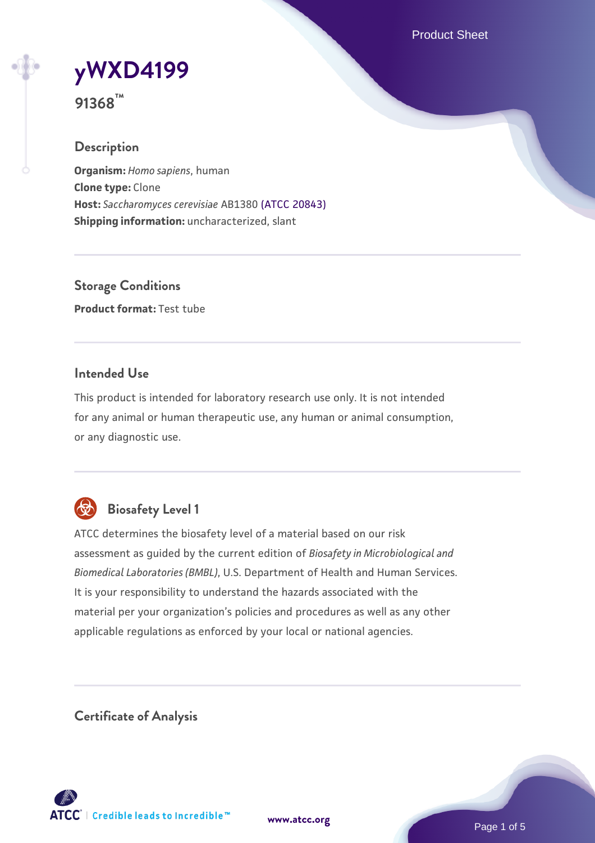Product Sheet

# **[yWXD4199](https://www.atcc.org/products/91368)**

**91368™**

# **Description**

**Organism:** *Homo sapiens*, human **Clone type:** Clone **Host:** *Saccharomyces cerevisiae* AB1380 [\(ATCC 20843\)](https://www.atcc.org/products/20843) **Shipping information:** uncharacterized, slant

**Storage Conditions Product format:** Test tube

# **Intended Use**

This product is intended for laboratory research use only. It is not intended for any animal or human therapeutic use, any human or animal consumption, or any diagnostic use.



# **Biosafety Level 1**

ATCC determines the biosafety level of a material based on our risk assessment as guided by the current edition of *Biosafety in Microbiological and Biomedical Laboratories (BMBL)*, U.S. Department of Health and Human Services. It is your responsibility to understand the hazards associated with the material per your organization's policies and procedures as well as any other applicable regulations as enforced by your local or national agencies.

**Certificate of Analysis**

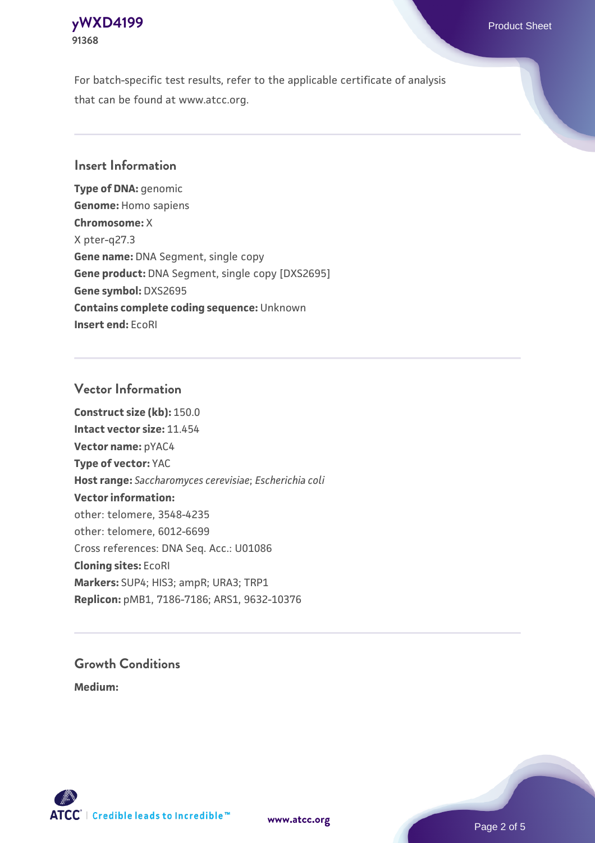# **[yWXD4199](https://www.atcc.org/products/91368)** Product Sheet **91368**

For batch-specific test results, refer to the applicable certificate of analysis that can be found at www.atcc.org.

# **Insert Information**

**Type of DNA:** genomic **Genome:** Homo sapiens **Chromosome:** X X pter-q27.3 **Gene name:** DNA Segment, single copy **Gene product:** DNA Segment, single copy [DXS2695] **Gene symbol:** DXS2695 **Contains complete coding sequence:** Unknown **Insert end:** EcoRI

# **Vector Information**

**Construct size (kb):** 150.0 **Intact vector size:** 11.454 **Vector name:** pYAC4 **Type of vector:** YAC **Host range:** *Saccharomyces cerevisiae*; *Escherichia coli* **Vector information:** other: telomere, 3548-4235 other: telomere, 6012-6699 Cross references: DNA Seq. Acc.: U01086 **Cloning sites:** EcoRI **Markers:** SUP4; HIS3; ampR; URA3; TRP1 **Replicon:** pMB1, 7186-7186; ARS1, 9632-10376

# **Growth Conditions**

**Medium:** 



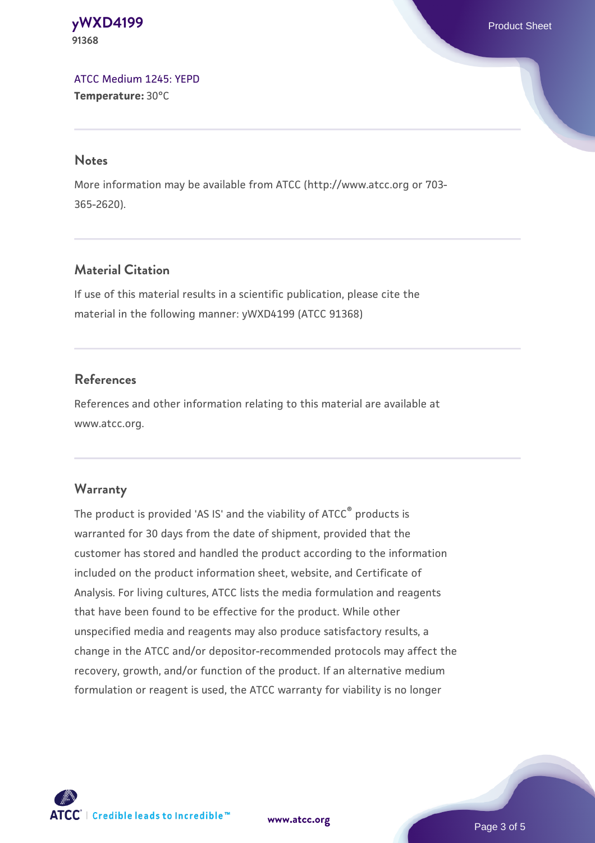**[yWXD4199](https://www.atcc.org/products/91368)** Product Sheet **91368**

[ATCC Medium 1245: YEPD](https://www.atcc.org/-/media/product-assets/documents/microbial-media-formulations/1/2/4/5/atcc-medium-1245.pdf?rev=705ca55d1b6f490a808a965d5c072196) **Temperature:** 30°C

#### **Notes**

More information may be available from ATCC (http://www.atcc.org or 703- 365-2620).

# **Material Citation**

If use of this material results in a scientific publication, please cite the material in the following manner: yWXD4199 (ATCC 91368)

# **References**

References and other information relating to this material are available at www.atcc.org.

### **Warranty**

The product is provided 'AS IS' and the viability of ATCC® products is warranted for 30 days from the date of shipment, provided that the customer has stored and handled the product according to the information included on the product information sheet, website, and Certificate of Analysis. For living cultures, ATCC lists the media formulation and reagents that have been found to be effective for the product. While other unspecified media and reagents may also produce satisfactory results, a change in the ATCC and/or depositor-recommended protocols may affect the recovery, growth, and/or function of the product. If an alternative medium formulation or reagent is used, the ATCC warranty for viability is no longer



**[www.atcc.org](http://www.atcc.org)**

Page 3 of 5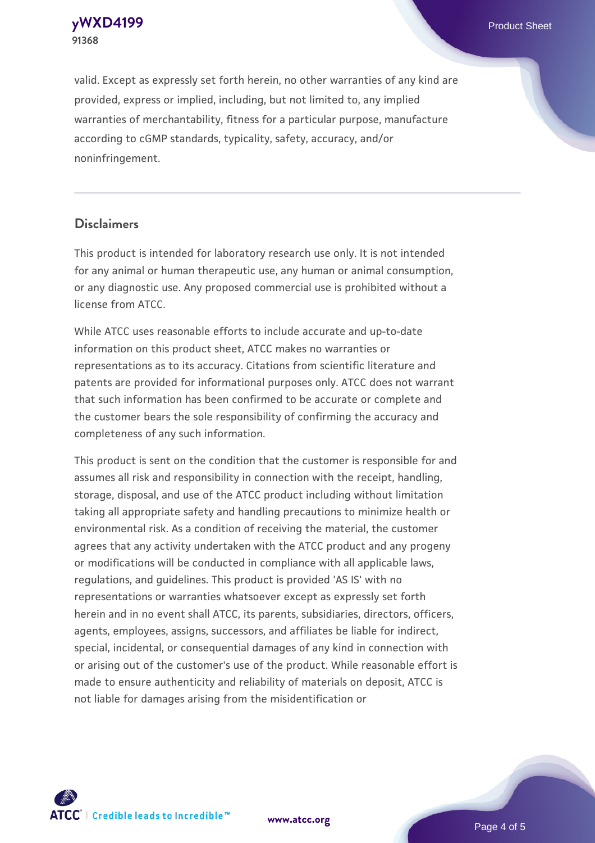**[yWXD4199](https://www.atcc.org/products/91368)** Product Sheet **91368**

valid. Except as expressly set forth herein, no other warranties of any kind are provided, express or implied, including, but not limited to, any implied warranties of merchantability, fitness for a particular purpose, manufacture according to cGMP standards, typicality, safety, accuracy, and/or noninfringement.

#### **Disclaimers**

This product is intended for laboratory research use only. It is not intended for any animal or human therapeutic use, any human or animal consumption, or any diagnostic use. Any proposed commercial use is prohibited without a license from ATCC.

While ATCC uses reasonable efforts to include accurate and up-to-date information on this product sheet, ATCC makes no warranties or representations as to its accuracy. Citations from scientific literature and patents are provided for informational purposes only. ATCC does not warrant that such information has been confirmed to be accurate or complete and the customer bears the sole responsibility of confirming the accuracy and completeness of any such information.

This product is sent on the condition that the customer is responsible for and assumes all risk and responsibility in connection with the receipt, handling, storage, disposal, and use of the ATCC product including without limitation taking all appropriate safety and handling precautions to minimize health or environmental risk. As a condition of receiving the material, the customer agrees that any activity undertaken with the ATCC product and any progeny or modifications will be conducted in compliance with all applicable laws, regulations, and guidelines. This product is provided 'AS IS' with no representations or warranties whatsoever except as expressly set forth herein and in no event shall ATCC, its parents, subsidiaries, directors, officers, agents, employees, assigns, successors, and affiliates be liable for indirect, special, incidental, or consequential damages of any kind in connection with or arising out of the customer's use of the product. While reasonable effort is made to ensure authenticity and reliability of materials on deposit, ATCC is not liable for damages arising from the misidentification or



**[www.atcc.org](http://www.atcc.org)**

Page 4 of 5